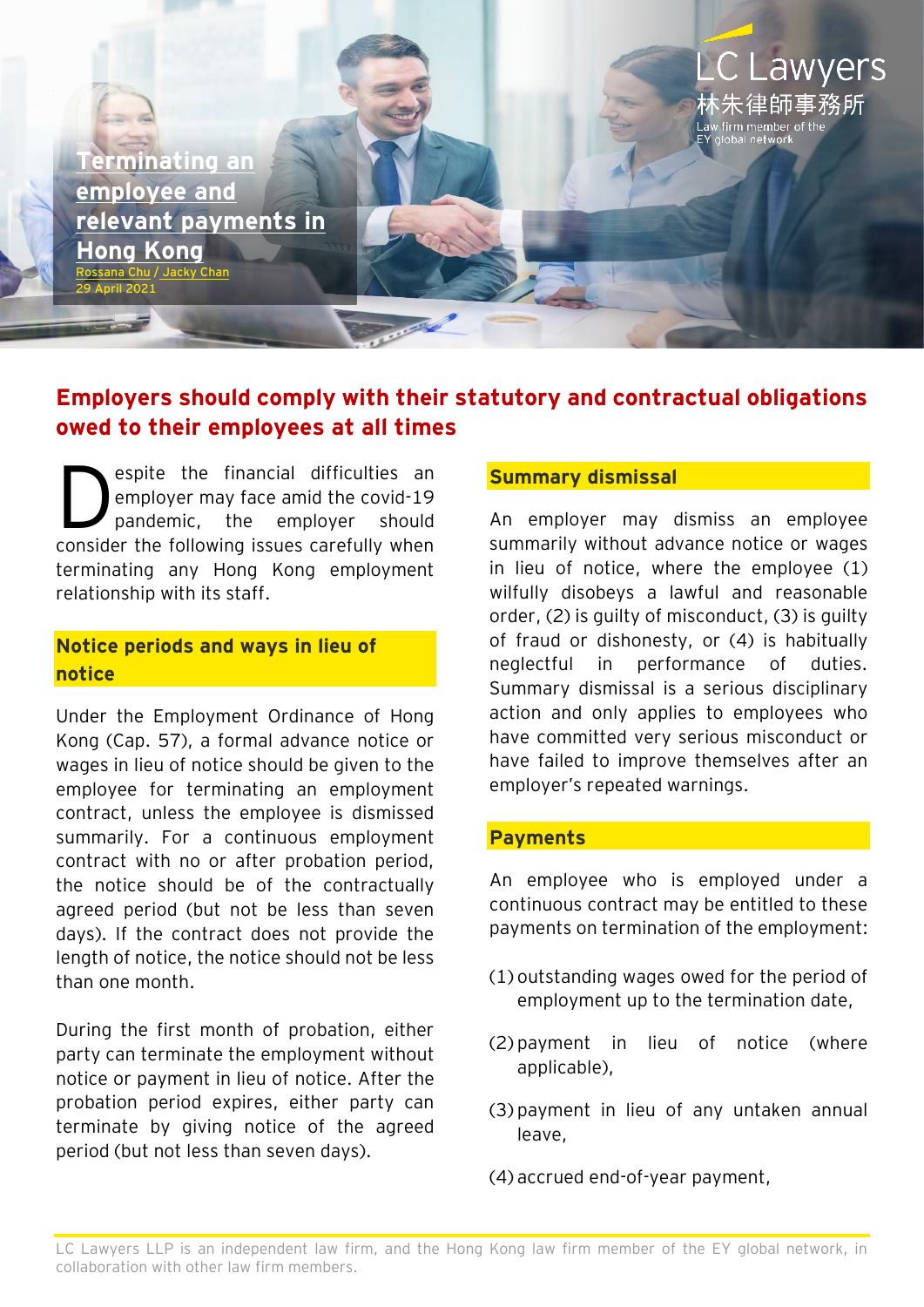**[Terminating an](https://www.eylaw.com.hk/en_hk/publications/our-latest-thinking/2021/may/terminating-an-employee-and-relevant-payments-in-hong-kong)  [employee and](https://www.eylaw.com.hk/en_hk/publications/our-latest-thinking/2021/may/terminating-an-employee-and-relevant-payments-in-hong-kong)  [relevant payments in](https://www.eylaw.com.hk/en_hk/publications/our-latest-thinking/2021/may/terminating-an-employee-and-relevant-payments-in-hong-kong)  [Hong Kong](https://www.eylaw.com.hk/en_hk/publications/our-latest-thinking/2021/may/terminating-an-employee-and-relevant-payments-in-hong-kong)** na Chu / [Jacky Chan](https://www.eylaw.com.hk/en_hk/people/jacky-chan)

29 April 2021

# **Employers should comply with their statutory and contractual obligations owed to their employees at all times**

espite the financial difficulties an employer may face amid the covid-19 pandemic, the employer should consider the following issues carefully when terminating any Hong Kong employment relationship with its staff. D

## **Notice periods and ways in lieu of notice**

Under the Employment Ordinance of Hong Kong (Cap. 57), a formal advance notice or wages in lieu of notice should be given to the employee for terminating an employment contract, unless the employee is dismissed summarily. For a continuous employment contract with no or after probation period, the notice should be of the contractually agreed period (but not be less than seven days). If the contract does not provide the length of notice, the notice should not be less than one month.

During the first month of probation, either party can terminate the employment without notice or payment in lieu of notice. After the probation period expires, either party can terminate by giving notice of the agreed period (but not less than seven days).

#### **Summary dismissal**

An employer may dismiss an employee summarily without advance notice or wages in lieu of notice, where the employee (1) wilfully disobeys a lawful and reasonable order, (2) is guilty of misconduct, (3) is guilty of fraud or dishonesty, or (4) is habitually neglectful in performance of duties. Summary dismissal is a serious disciplinary action and only applies to employees who have committed very serious misconduct or have failed to improve themselves after an employer's repeated warnings.

C Lawyers

**:朱律師事務所** 

irm member o

#### **Payments**

An employee who is employed under a continuous contract may be entitled to these payments on termination of the employment:

- (1) outstanding wages owed for the period of employment up to the termination date,
- (2) payment in lieu of notice (where applicable),
- (3) payment in lieu of any untaken annual leave,

(4) accrued end-of-year payment,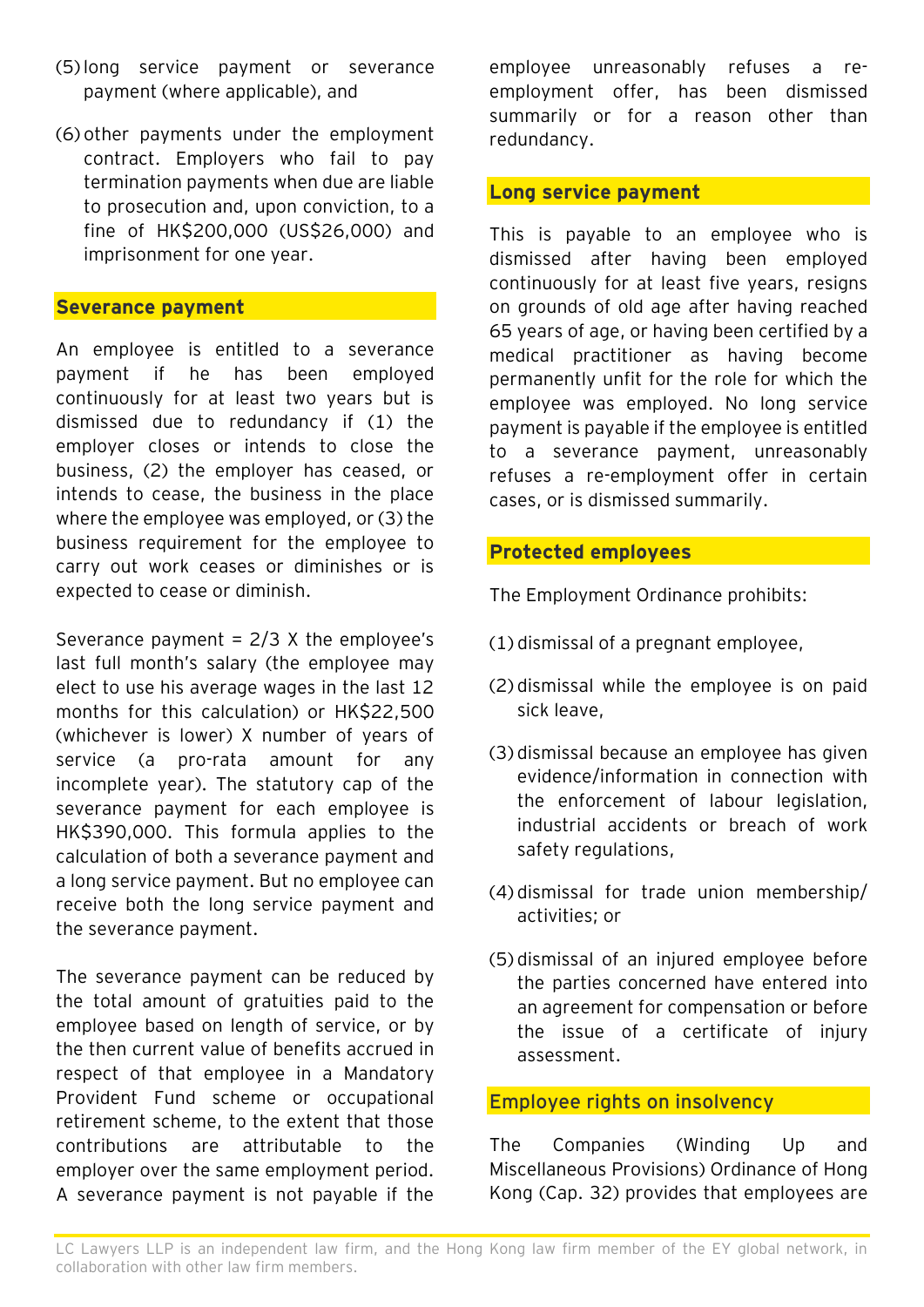- (5) long service payment or severance payment (where applicable), and
- (6) other payments under the employment contract. Employers who fail to pay termination payments when due are liable to prosecution and, upon conviction, to a fine of HK\$200,000 (US\$26,000) and imprisonment for one year.

#### **Severance payment**

An employee is entitled to a severance payment if he has been employed continuously for at least two years but is dismissed due to redundancy if (1) the employer closes or intends to close the business, (2) the employer has ceased, or intends to cease, the business in the place where the employee was employed, or (3) the business requirement for the employee to carry out work ceases or diminishes or is expected to cease or diminish.

Severance payment =  $2/3$  X the employee's last full month's salary (the employee may elect to use his average wages in the last 12 months for this calculation) or HK\$22,500 (whichever is lower) X number of years of service (a pro-rata amount for any incomplete year). The statutory cap of the severance payment for each employee is HK\$390,000. This formula applies to the calculation of both a severance payment and a long service payment. But no employee can receive both the long service payment and the severance payment.

The severance payment can be reduced by the total amount of gratuities paid to the employee based on length of service, or by the then current value of benefits accrued in respect of that employee in a Mandatory Provident Fund scheme or occupational retirement scheme, to the extent that those contributions are attributable to the employer over the same employment period. A severance payment is not payable if the employee unreasonably refuses a reemployment offer, has been dismissed summarily or for a reason other than redundancy.

#### **Long service payment**

This is payable to an employee who is dismissed after having been employed continuously for at least five years, resigns on grounds of old age after having reached 65 years of age, or having been certified by a medical practitioner as having become permanently unfit for the role for which the employee was employed. No long service payment is payable if the employee is entitled to a severance payment, unreasonably refuses a re-employment offer in certain cases, or is dismissed summarily.

#### **Protected employees**

The Employment Ordinance prohibits:

- (1) dismissal of a pregnant employee,
- (2) dismissal while the employee is on paid sick leave,
- (3) dismissal because an employee has given evidence/information in connection with the enforcement of labour legislation, industrial accidents or breach of work safety regulations,
- (4) dismissal for trade union membership/ activities; or
- (5) dismissal of an injured employee before the parties concerned have entered into an agreement for compensation or before the issue of a certificate of injury assessment.

#### Employee rights on insolvency

The Companies (Winding Up and Miscellaneous Provisions) Ordinance of Hong Kong (Cap. 32) provides that employees are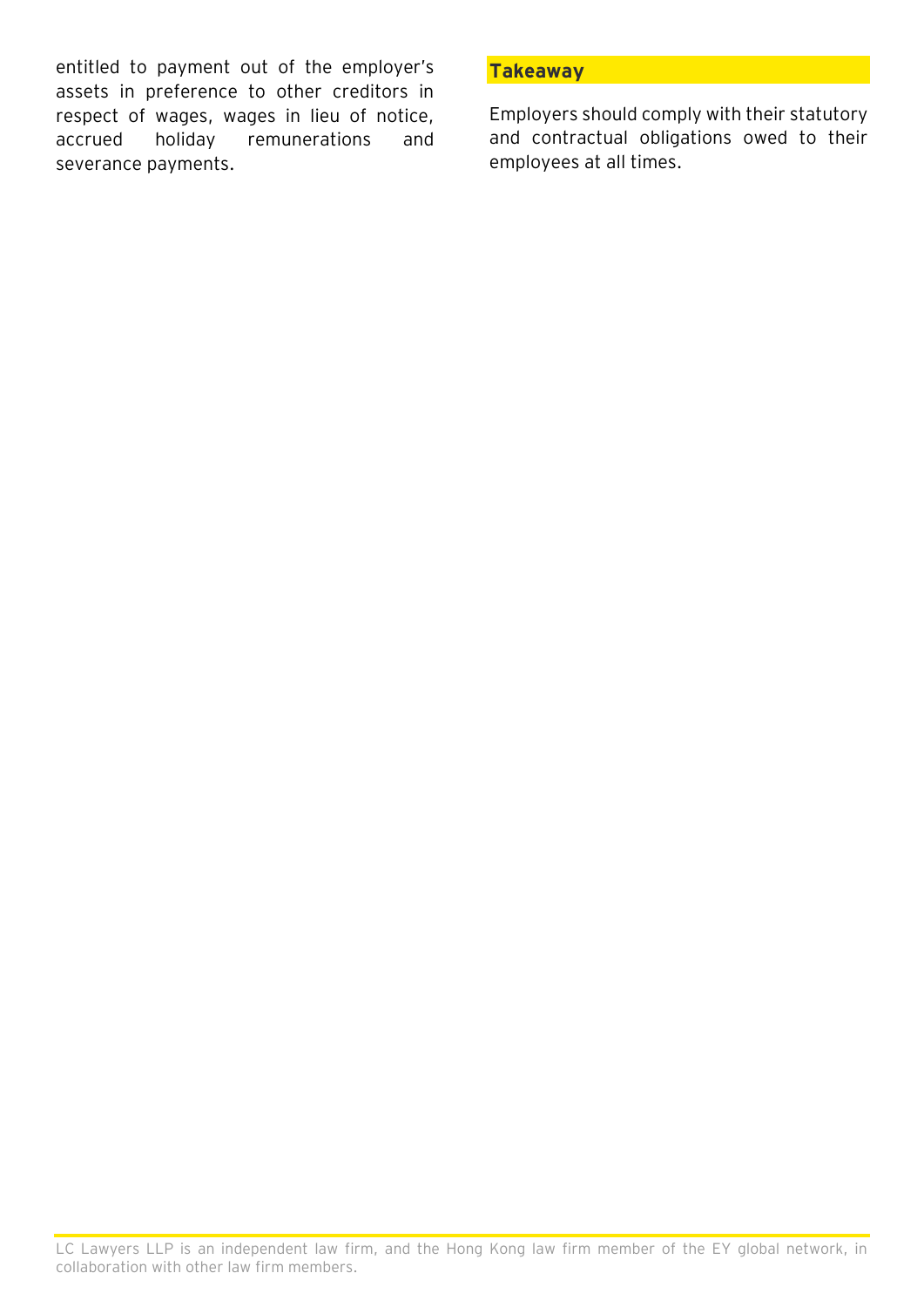entitled to payment out of the employer's assets in preference to other creditors in respect of wages, wages in lieu of notice, accrued holiday remunerations and severance payments.

### **Takeaway**

Employers should comply with their statutory and contractual obligations owed to their employees at all times.

LC Lawyers LLP is an independent law firm, and the Hong Kong law firm member of the EY global network, in collaboration with other law firm members.